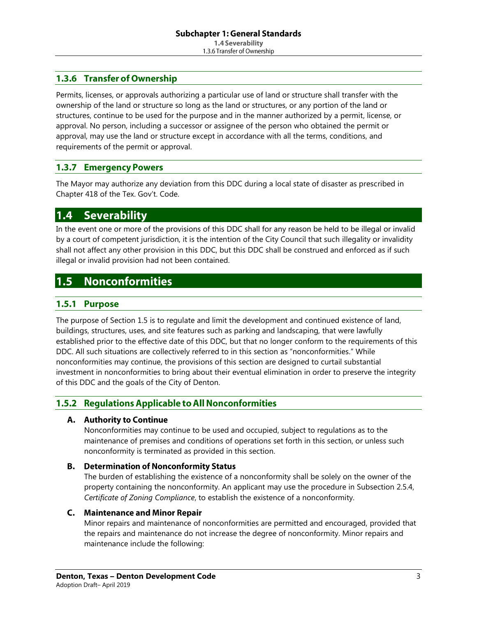# 1.3.6 Transfer of Ownership

Permits, licenses, or approvals authorizing a particular use of land or structure shall transfer with the ownership of the land or structure so long as the land or structures, or any portion of the land or structures, continue to be used for the purpose and in the manner authorized by a permit, license, or approval. No person, including a successor or assignee of the person who obtained the permit or approval, may use the land or structure except in accordance with all the terms, conditions, and requirements of the permit or approval.

#### **Emergency Powers**  $1.3.7$

The Mayor may authorize any deviation from this DDC during a local state of disaster as prescribed in Chapter 418 of the Tex. Gov't. Code.

#### **Severability**  $|1.4|$

In the event one or more of the provisions of this DDC shall for any reason be held to be illegal or invalid by a court of competent jurisdiction, it is the intention of the City Council that such illegality or invalidity shall not affect any other provision in this DDC, but this DDC shall be construed and enforced as if such illegal or invalid provision had not been contained.

#### <span id="page-0-0"></span>**Nonconformities**  $1.5$

## 1.5.1 Purpose

The purpose of Section [1.5](#page-0-0) is to regulate and limit the development and continued existence of land, buildings, structures, uses, and site features such as parking and landscaping, that were lawfully established prior to the effective date of this DDC, but that no longer conform to the requirements of this DDC. All such situations are collectively referred to in this section as "nonconformities." While nonconformities may continue, the provisions of this section are designed to curtail substantial investment in nonconformities to bring about their eventual elimination in order to preserve the integrity of this DDC and the goals of the City of Denton.

# 1.5.2 Regulations Applicable to All Nonconformities

### A. Authority to Continue

Nonconformities may continue to be used and occupied, subject to regulations as to the maintenance of premises and conditions of operations set forth in this section, or unless such nonconformity is terminated as provided in this section.

### **B.** Determination of Nonconformity Status

The burden of establishing the existence of a nonconformity shall be solely on the owner of the property containing the nonconformity. An applicant may use the procedure in Subsection 2.5.4, *Certificate of Zoning Compliance*, to establish the existence of a nonconformity.

### <span id="page-0-1"></span>C. Maintenance and Minor Repair

Minor repairs and maintenance of nonconformities are permitted and encouraged, provided that the repairs and maintenance do not increase the degree of nonconformity. Minor repairs and maintenance include the following: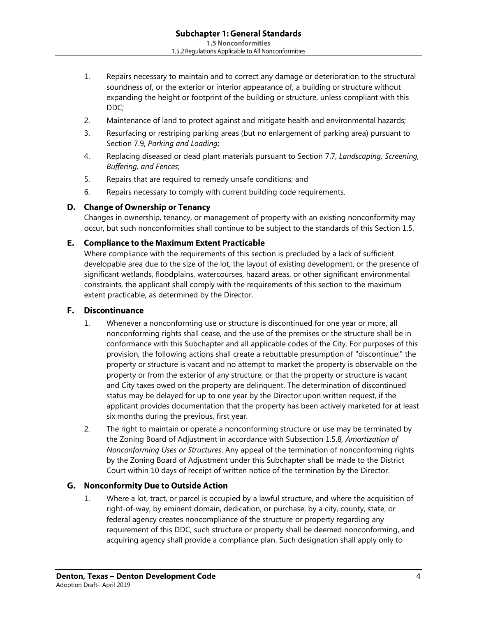- 1. Repairs necessary to maintain and to correct any damage or deterioration to the structural soundness of, or the exterior or interior appearance of, a building or structure without expanding the height or footprint of the building or structure, unless compliant with this DDC;
- 2. Maintenance of land to protect against and mitigate health and environmental hazards;
- 3. Resurfacing or restriping parking areas (but no enlargement of parking area) pursuant to Section 7.9, *Parking and Loading*;
- 4. Replacing diseased or dead plant materials pursuant to Section 7.7, *Landscaping, Screening, Buffering, and Fences*;
- 5. Repairs that are required to remedy unsafe conditions; and
- 6. Repairs necessary to comply with current building code requirements.

### D. Change of Ownership or Tenancy

Changes in ownership, tenancy, or management of property with an existing nonconformity may occur, but such nonconformities shall continue to be subject to the standards of this Section [1.5.](#page-0-0)

#### **E.** Compliance to the Maximum Extent Practicable

Where compliance with the requirements of this section is precluded by a lack of sufficient developable area due to the size of the lot, the layout of existing development, or the presence of significant wetlands, floodplains, watercourses, hazard areas, or other significant environmental constraints, the applicant shall comply with the requirements of this section to the maximum extent practicable, as determined by the Director.

#### F. Discontinuance

- 1. Whenever a nonconforming use or structure is discontinued for one year or more, all nonconforming rights shall cease, and the use of the premises or the structure shall be in conformance with this Subchapter and all applicable codes of the City. For purposes of this provision, the following actions shall create a rebuttable presumption of "discontinue:" the property or structure is vacant and no attempt to market the property is observable on the property or from the exterior of any structure, or that the property or structure is vacant and City taxes owed on the property are delinquent. The determination of discontinued status may be delayed for up to one year by the Director upon written request, if the applicant provides documentation that the property has been actively marketed for at least six months during the previous, first year.
- 2. The right to maintain or operate a nonconforming structure or use may be terminated by the Zoning Board of Adjustment in accordance with Subsection [1.5.8](#page-4-0)*, [Amortization of](#page-4-0)  [Nonconforming Uses or Structures](#page-4-0)*. Any appeal of the termination of nonconforming rights by the Zoning Board of Adjustment under this Subchapter shall be made to the District Court within 10 days of receipt of written notice of the termination by the Director.

### G. Nonconformity Due to Outside Action

1. Where a lot, tract, or parcel is occupied by a lawful structure, and where the acquisition of right-of-way, by eminent domain, dedication, or purchase, by a city, county, state, or federal agency creates noncompliance of the structure or property regarding any requirement of this DDC, such structure or property shall be deemed nonconforming, and acquiring agency shall provide a compliance plan. Such designation shall apply only to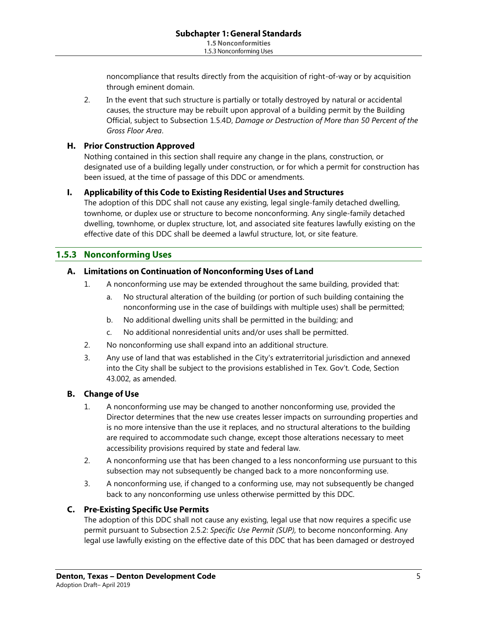noncompliance that results directly from the acquisition of right-of-way or by acquisition through eminent domain.

2. In the event that such structure is partially or totally destroyed by natural or accidental causes, the structure may be rebuilt upon approval of a building permit by the Building Official, subject to Subsection [1.5.4D,](#page-3-0) *[Damage or Destruction of More than 50 Percent of the](#page-3-0)  [Gross Floor Area](#page-3-0)*.

## H. Prior Construction Approved

Nothing contained in this section shall require any change in the plans, construction, or designated use of a building legally under construction, or for which a permit for construction has been issued, at the time of passage of this DDC or amendments.

### I. Applicability of this Code to Existing Residential Uses and Structures

The adoption of this DDC shall not cause any existing, legal single-family detached dwelling, townhome, or duplex use or structure to become nonconforming. Any single-family detached dwelling, townhome, or duplex structure, lot, and associated site features lawfully existing on the effective date of this DDC shall be deemed a lawful structure, lot, or site feature.

# **1.5.3 Nonconforming Uses**

#### A. Limitations on Continuation of Nonconforming Uses of Land

- 1. A nonconforming use may be extended throughout the same building, provided that:
	- a. No structural alteration of the building (or portion of such building containing the nonconforming use in the case of buildings with multiple uses) shall be permitted;
	- b. No additional dwelling units shall be permitted in the building; and
	- c. No additional nonresidential units and/or uses shall be permitted.
- 2. No nonconforming use shall expand into an additional structure.
- 3. Any use of land that was established in the City's extraterritorial jurisdiction and annexed into the City shall be subject to the provisions established in Tex. Gov't. Code, Section 43.002, as amended.

### **B.** Change of Use

- 1. A nonconforming use may be changed to another nonconforming use, provided the Director determines that the new use creates lesser impacts on surrounding properties and is no more intensive than the use it replaces, and no structural alterations to the building are required to accommodate such change, except those alterations necessary to meet accessibility provisions required by state and federal law.
- 2. A nonconforming use that has been changed to a less nonconforming use pursuant to this subsection may not subsequently be changed back to a more nonconforming use.
- 3. A nonconforming use, if changed to a conforming use, may not subsequently be changed back to any nonconforming use unless otherwise permitted by this DDC.

### **C.** Pre-Existing Specific Use Permits

The adoption of this DDC shall not cause any existing, legal use that now requires a specific use permit pursuant to Subsection 2.5.2: *Specific Use Permit (SUP),* to become nonconforming. Any legal use lawfully existing on the effective date of this DDC that has been damaged or destroyed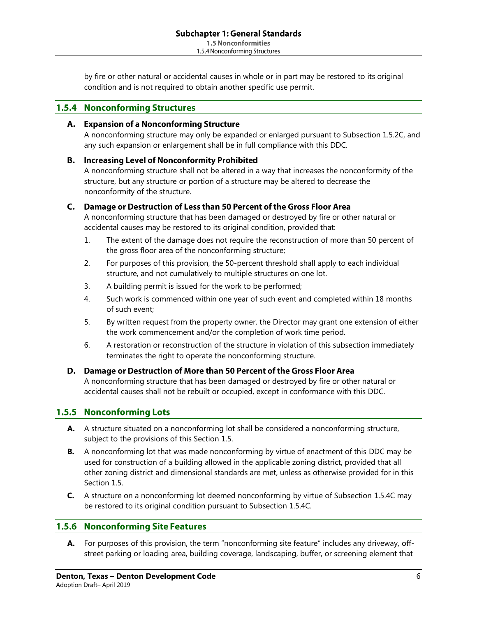by fire or other natural or accidental causes in whole or in part may be restored to its original condition and is not required to obtain another specific use permit.

#### **Nonconforming Structures**  $1.5.4$

#### A. Expansion of a Nonconforming Structure

A nonconforming structure may only be expanded or enlarged pursuant to Subsection [1.5.2C,](#page-0-1) and any such expansion or enlargement shall be in full compliance with this DDC.

#### **B.** Increasing Level of Nonconformity Prohibited

A nonconforming structure shall not be altered in a way that increases the nonconformity of the structure, but any structure or portion of a structure may be altered to decrease the nonconformity of the structure.

#### <span id="page-3-1"></span>C. Damage or Destruction of Less than 50 Percent of the Gross Floor Area

A nonconforming structure that has been damaged or destroyed by fire or other natural or accidental causes may be restored to its original condition, provided that:

- 1. The extent of the damage does not require the reconstruction of more than 50 percent of the gross floor area of the nonconforming structure;
- 2. For purposes of this provision, the 50-percent threshold shall apply to each individual structure, and not cumulatively to multiple structures on one lot.
- 3. A building permit is issued for the work to be performed;
- 4. Such work is commenced within one year of such event and completed within 18 months of such event;
- 5. By written request from the property owner, the Director may grant one extension of either the work commencement and/or the completion of work time period.
- 6. A restoration or reconstruction of the structure in violation of this subsection immediately terminates the right to operate the nonconforming structure.

### <span id="page-3-0"></span>D. Damage or Destruction of More than 50 Percent of the Gross Floor Area

A nonconforming structure that has been damaged or destroyed by fire or other natural or accidental causes shall not be rebuilt or occupied, except in conformance with this DDC.

### **1.5.5 Nonconforming Lots**

- **A.** A structure situated on a nonconforming lot shall be considered a nonconforming structure, subject to the provisions of this Section [1.5.](#page-0-0)
- **B.** A nonconforming lot that was made nonconforming by virtue of enactment of this DDC may be used for construction of a building allowed in the applicable zoning district, provided that all other zoning district and dimensional standards are met, unless as otherwise provided for in this Section [1.5.](#page-0-0)
- **C.** A structure on a nonconforming lot deemed nonconforming by virtue of Subsection [1.5.4C](#page-3-1) may be restored to its original condition pursuant to Subsection [1.5.4C.](#page-3-1)

### **1.5.6 Nonconforming Site Features**

**A.** For purposes of this provision, the term "nonconforming site feature" includes any driveway, offstreet parking or loading area, building coverage, landscaping, buffer, or screening element that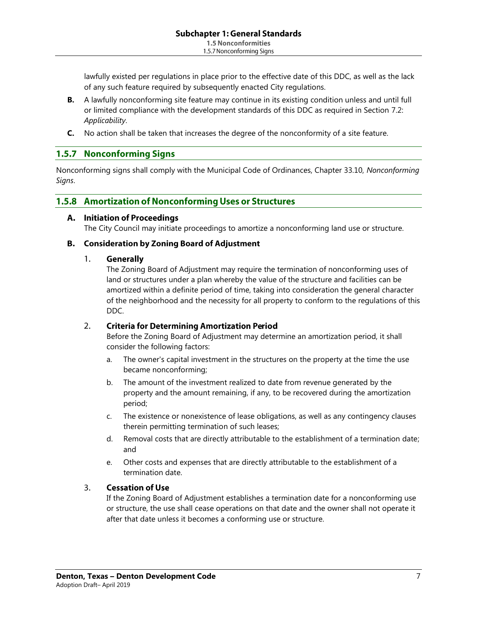lawfully existed per regulations in place prior to the effective date of this DDC, as well as the lack of any such feature required by subsequently enacted City regulations.

- **B.** A lawfully nonconforming site feature may continue in its existing condition unless and until full or limited compliance with the development standards of this DDC as required in Section 7.2: *Applicability*.
- **C.** No action shall be taken that increases the degree of the nonconformity of a site feature.

#### **Nonconforming Signs**  $1.5.7$

Nonconforming signs shall comply with the Municipal Code of Ordinances, Chapter 33.10, *Nonconforming Signs*.

## <span id="page-4-0"></span>1.5.8 Amortization of Nonconforming Uses or Structures

#### A. Initiation of Proceedings

The City Council may initiate proceedings to amortize a nonconforming land use or structure.

#### **B.** Consideration by Zoning Board of Adjustment

#### $1.$ Generally

The Zoning Board of Adjustment may require the termination of nonconforming uses of land or structures under a plan whereby the value of the structure and facilities can be amortized within a definite period of time, taking into consideration the general character of the neighborhood and the necessity for all property to conform to the regulations of this DDC.

#### $2.$ **Criteria for Determining Amortization Period**

Before the Zoning Board of Adjustment may determine an amortization period, it shall consider the following factors:

- a. The owner's capital investment in the structures on the property at the time the use became nonconforming;
- b. The amount of the investment realized to date from revenue generated by the property and the amount remaining, if any, to be recovered during the amortization period;
- c. The existence or nonexistence of lease obligations, as well as any contingency clauses therein permitting termination of such leases;
- d. Removal costs that are directly attributable to the establishment of a termination date; and
- e. Other costs and expenses that are directly attributable to the establishment of a termination date.

#### 3. **Cessation of Use**

If the Zoning Board of Adjustment establishes a termination date for a nonconforming use or structure, the use shall cease operations on that date and the owner shall not operate it after that date unless it becomes a conforming use or structure.